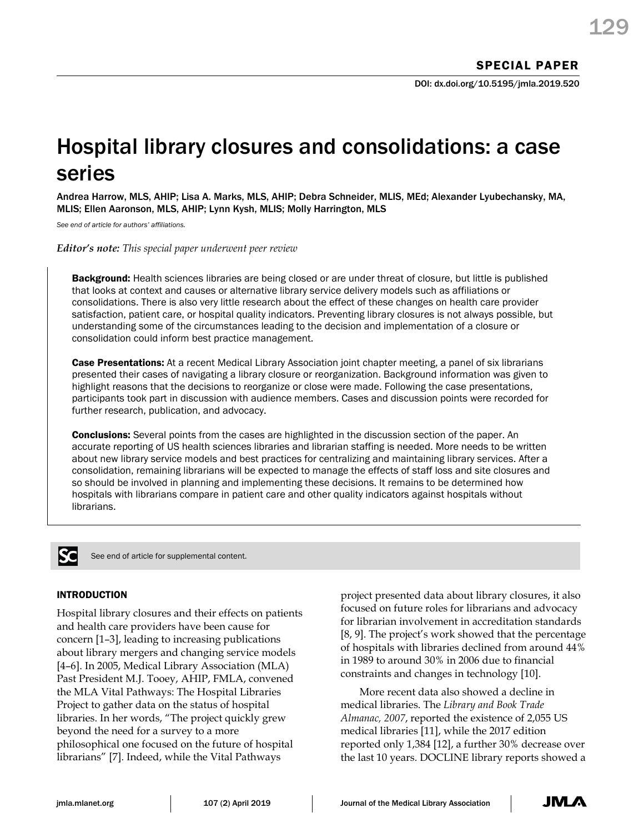# Hospital library closures and consolidations: a case series

Andrea Harrow, MLS, AHIP; Lisa A. Marks, MLS, AHIP; Debra Schneider, MLIS, MEd; Alexander Lyubechansky, MA, MLIS; Ellen Aaronson, MLS, AHIP; Lynn Kysh, MLIS; Molly Harrington, MLS

*See end of article for authors' affiliations.* 

*Editor's note: This special paper underwent peer review*

**Background:** Health sciences libraries are being closed or are under threat of closure, but little is published that looks at context and causes or alternative library service delivery models such as affiliations or consolidations. There is also very little research about the effect of these changes on health care provider satisfaction, patient care, or hospital quality indicators. Preventing library closures is not always possible, but understanding some of the circumstances leading to the decision and implementation of a closure or consolidation could inform best practice management.

Case Presentations: At a recent Medical Library Association joint chapter meeting, a panel of six librarians presented their cases of navigating a library closure or reorganization. Background information was given to highlight reasons that the decisions to reorganize or close were made. Following the case presentations, participants took part in discussion with audience members. Cases and discussion points were recorded for further research, publication, and advocacy.

**Conclusions:** Several points from the cases are highlighted in the discussion section of the paper. An accurate reporting of US health sciences libraries and librarian staffing is needed. More needs to be written about new library service models and best practices for centralizing and maintaining library services. After a consolidation, remaining librarians will be expected to manage the effects of staff loss and site closures and so should be involved in planning and implementing these decisions. It remains to be determined how hospitals with librarians compare in patient care and other quality indicators against hospitals without librarians.



See end of article for supplemental content.

# INTRODUCTION

Hospital library closures and their effects on patients and health care providers have been cause for concern [1–3], leading to increasing publications about library mergers and changing service models [4–6]. In 2005, Medical Library Association (MLA) Past President M.J. Tooey, AHIP, FMLA, convened the MLA Vital Pathways: The Hospital Libraries Project to gather data on the status of hospital libraries. In her words, "The project quickly grew beyond the need for a survey to a more philosophical one focused on the future of hospital librarians" [7]. Indeed, while the Vital Pathways

project presented data about library closures, it also focused on future roles for librarians and advocacy for librarian involvement in accreditation standards [8, 9]. The project's work showed that the percentage of hospitals with libraries declined from around 44% in 1989 to around 30% in 2006 due to financial constraints and changes in technology [10].

More recent data also showed a decline in medical libraries. The *Library and Book Trade Almanac, 2007*, reported the existence of 2,055 US medical libraries [11], while the 2017 edition reported only 1,384 [12], a further 30% decrease over the last 10 years. DOCLINE library reports showed a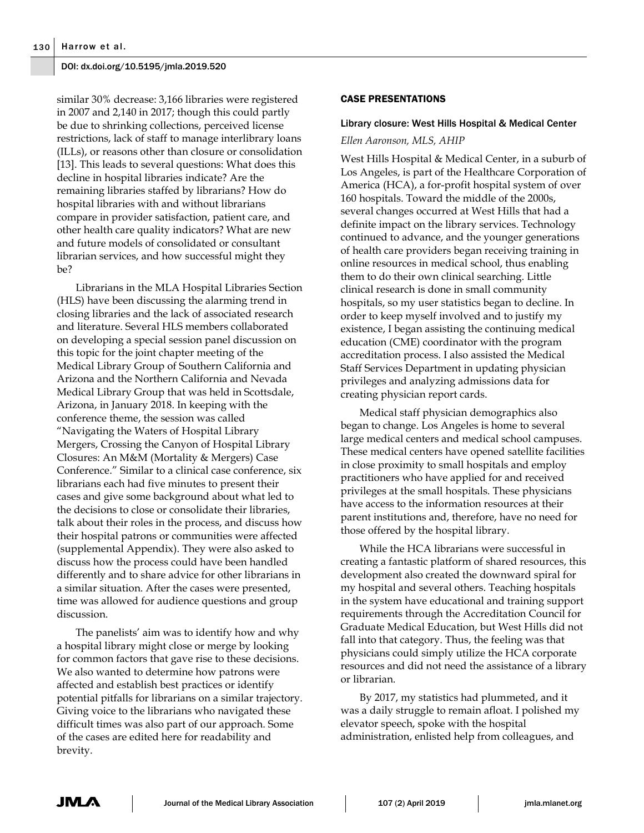similar 30% decrease: 3,166 libraries were registered in 2007 and 2,140 in 2017; though this could partly be due to shrinking collections, perceived license restrictions, lack of staff to manage interlibrary loans (ILLs), or reasons other than closure or consolidation [13]. This leads to several questions: What does this decline in hospital libraries indicate? Are the remaining libraries staffed by librarians? How do hospital libraries with and without librarians compare in provider satisfaction, patient care, and other health care quality indicators? What are new and future models of consolidated or consultant librarian services, and how successful might they be?

Librarians in the MLA Hospital Libraries Section (HLS) have been discussing the alarming trend in closing libraries and the lack of associated research and literature. Several HLS members collaborated on developing a special session panel discussion on this topic for the joint chapter meeting of the Medical Library Group of Southern California and Arizona and the Northern California and Nevada Medical Library Group that was held in Scottsdale, Arizona, in January 2018. In keeping with the conference theme, the session was called "Navigating the Waters of Hospital Library Mergers, Crossing the Canyon of Hospital Library Closures: An M&M (Mortality & Mergers) Case Conference." Similar to a clinical case conference, six librarians each had five minutes to present their cases and give some background about what led to the decisions to close or consolidate their libraries, talk about their roles in the process, and discuss how their hospital patrons or communities were affected (supplemental Appendix). They were also asked to discuss how the process could have been handled differently and to share advice for other librarians in a similar situation. After the cases were presented, time was allowed for audience questions and group discussion.

The panelists' aim was to identify how and why a hospital library might close or merge by looking for common factors that gave rise to these decisions. We also wanted to determine how patrons were affected and establish best practices or identify potential pitfalls for librarians on a similar trajectory. Giving voice to the librarians who navigated these difficult times was also part of our approach. Some of the cases are edited here for readability and brevity.

#### CASE PRESENTATIONS

#### Library closure: West Hills Hospital & Medical Center

#### *Ellen Aaronson, MLS, AHIP*

West Hills Hospital & Medical Center, in a suburb of Los Angeles, is part of the Healthcare Corporation of America (HCA), a for-profit hospital system of over 160 hospitals. Toward the middle of the 2000s, several changes occurred at West Hills that had a definite impact on the library services. Technology continued to advance, and the younger generations of health care providers began receiving training in online resources in medical school, thus enabling them to do their own clinical searching. Little clinical research is done in small community hospitals, so my user statistics began to decline. In order to keep myself involved and to justify my existence, I began assisting the continuing medical education (CME) coordinator with the program accreditation process. I also assisted the Medical Staff Services Department in updating physician privileges and analyzing admissions data for creating physician report cards.

Medical staff physician demographics also began to change. Los Angeles is home to several large medical centers and medical school campuses. These medical centers have opened satellite facilities in close proximity to small hospitals and employ practitioners who have applied for and received privileges at the small hospitals. These physicians have access to the information resources at their parent institutions and, therefore, have no need for those offered by the hospital library.

While the HCA librarians were successful in creating a fantastic platform of shared resources, this development also created the downward spiral for my hospital and several others. Teaching hospitals in the system have educational and training support requirements through the Accreditation Council for Graduate Medical Education, but West Hills did not fall into that category. Thus, the feeling was that physicians could simply utilize the HCA corporate resources and did not need the assistance of a library or librarian.

By 2017, my statistics had plummeted, and it was a daily struggle to remain afloat. I polished my elevator speech, spoke with the hospital administration, enlisted help from colleagues, and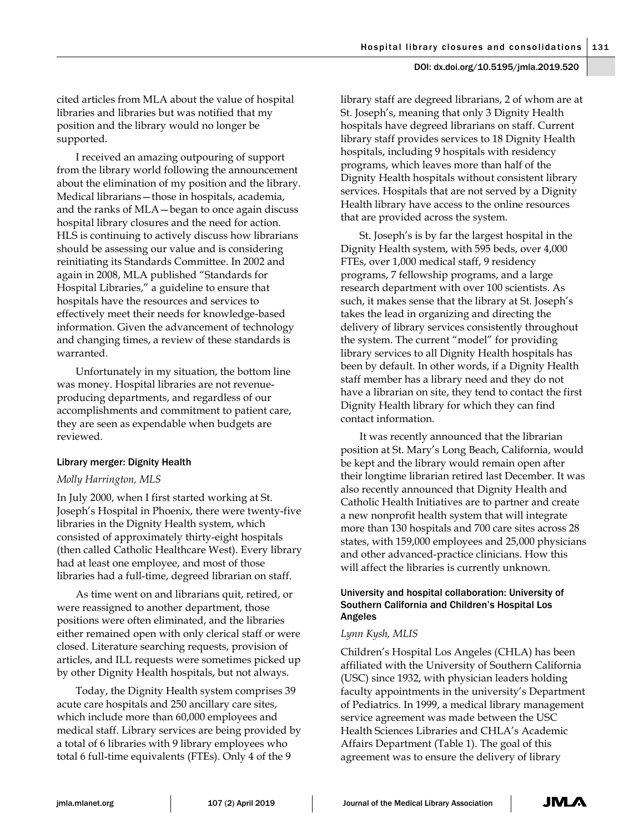cited articles from MLA about the value of hospital libraries and libraries but was notified that my position and the library would no longer be supported.

I received an amazing outpouring of support from the library world following the announcement about the elimination of my position and the library. Medical librarians—those in hospitals, academia, and the ranks of MLA—began to once again discuss hospital library closures and the need for action. HLS is continuing to actively discuss how librarians should be assessing our value and is considering reinitiating its Standards Committee. In 2002 and again in 2008, MLA published "Standards for Hospital Libraries," a guideline to ensure that hospitals have the resources and services to effectively meet their needs for knowledge-based information. Given the advancement of technology and changing times, a review of these standards is warranted.

Unfortunately in my situation, the bottom line was money. Hospital libraries are not revenueproducing departments, and regardless of our accomplishments and commitment to patient care, they are seen as expendable when budgets are reviewed.

## Library merger: Dignity Health

# *Molly Harrington, MLS*

In July 2000, when I first started working at St. Joseph's Hospital in Phoenix, there were twenty-five libraries in the Dignity Health system, which consisted of approximately thirty-eight hospitals (then called Catholic Healthcare West). Every library had at least one employee, and most of those libraries had a full-time, degreed librarian on staff.

As time went on and librarians quit, retired, or were reassigned to another department, those positions were often eliminated, and the libraries either remained open with only clerical staff or were closed. Literature searching requests, provision of articles, and ILL requests were sometimes picked up by other Dignity Health hospitals, but not always.

Today, the Dignity Health system comprises 39 acute care hospitals and 250 ancillary care sites, which include more than 60,000 employees and medical staff. Library services are being provided by a total of 6 libraries with 9 library employees who total 6 full-time equivalents (FTEs). Only 4 of the 9

library staff are degreed librarians, 2 of whom are at St. Joseph's, meaning that only 3 Dignity Health hospitals have degreed librarians on staff. Current library staff provides services to 18 Dignity Health hospitals, including 9 hospitals with residency programs, which leaves more than half of the Dignity Health hospitals without consistent library services. Hospitals that are not served by a Dignity Health library have access to the online resources that are provided across the system.

St. Joseph's is by far the largest hospital in the Dignity Health system, with 595 beds, over 4,000 FTEs, over 1,000 medical staff, 9 residency programs, 7 fellowship programs, and a large research department with over 100 scientists. As such, it makes sense that the library at St. Joseph's takes the lead in organizing and directing the delivery of library services consistently throughout the system. The current "model" for providing library services to all Dignity Health hospitals has been by default. In other words, if a Dignity Health staff member has a library need and they do not have a librarian on site, they tend to contact the first Dignity Health library for which they can find contact information.

It was recently announced that the librarian position at St. Mary's Long Beach, California, would be kept and the library would remain open after their longtime librarian retired last December. It was also recently announced that Dignity Health and Catholic Health Initiatives are to partner and create a new nonprofit health system that will integrate more than 130 hospitals and 700 care sites across 28 states, with 159,000 employees and 25,000 physicians and other advanced-practice clinicians. How this will affect the libraries is currently unknown.

# University and hospital collaboration: University of Southern California and Children's Hospital Los Angeles

## *Lynn Kysh, MLIS*

Children's Hospital Los Angeles (CHLA) has been affiliated with the University of Southern California (USC) since 1932, with physician leaders holding faculty appointments in the university's Department of Pediatrics. In 1999, a medical library management service agreement was made between the USC Health Sciences Libraries and CHLA's Academic Affairs Department (Table 1). The goal of this agreement was to ensure the delivery of library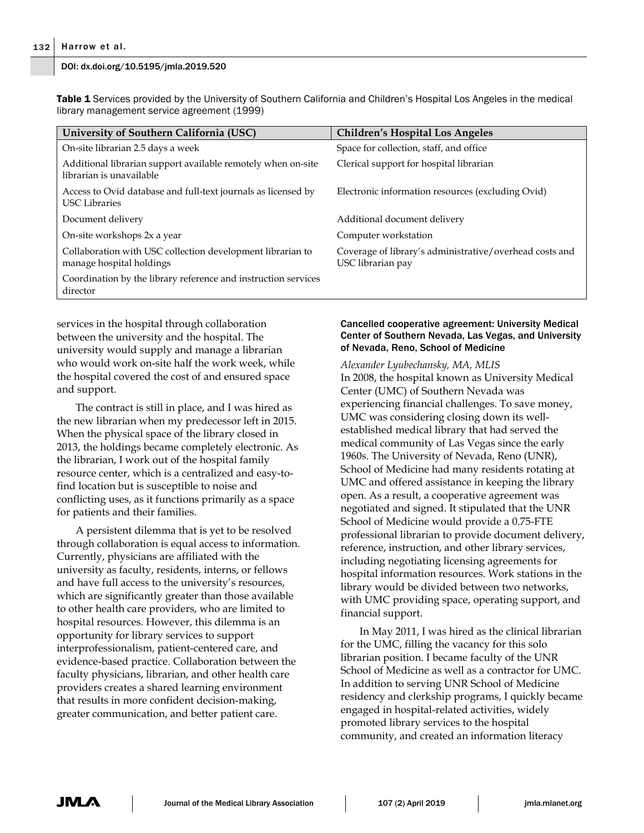**Table 1** Services provided by the University of Southern California and Children's Hospital Los Angeles in the medical library management service agreement (1999)

| University of Southern California (USC)                                                  | <b>Children's Hospital Los Angeles</b>                                       |
|------------------------------------------------------------------------------------------|------------------------------------------------------------------------------|
| On-site librarian 2.5 days a week                                                        | Space for collection, staff, and office                                      |
| Additional librarian support available remotely when on-site<br>librarian is unavailable | Clerical support for hospital librarian                                      |
| Access to Ovid database and full-text journals as licensed by<br><b>USC</b> Libraries    | Electronic information resources (excluding Ovid)                            |
| Document delivery                                                                        | Additional document delivery                                                 |
| On-site workshops 2x a year                                                              | Computer workstation                                                         |
| Collaboration with USC collection development librarian to<br>manage hospital holdings   | Coverage of library's administrative/overhead costs and<br>USC librarian pay |
| Coordination by the library reference and instruction services<br>director               |                                                                              |

services in the hospital through collaboration between the university and the hospital. The university would supply and manage a librarian who would work on-site half the work week, while the hospital covered the cost of and ensured space and support.

The contract is still in place, and I was hired as the new librarian when my predecessor left in 2015. When the physical space of the library closed in 2013, the holdings became completely electronic. As the librarian, I work out of the hospital family resource center, which is a centralized and easy-tofind location but is susceptible to noise and conflicting uses, as it functions primarily as a space for patients and their families.

A persistent dilemma that is yet to be resolved through collaboration is equal access to information. Currently, physicians are affiliated with the university as faculty, residents, interns, or fellows and have full access to the university's resources, which are significantly greater than those available to other health care providers, who are limited to hospital resources. However, this dilemma is an opportunity for library services to support interprofessionalism, patient-centered care, and evidence-based practice. Collaboration between the faculty physicians, librarian, and other health care providers creates a shared learning environment that results in more confident decision-making, greater communication, and better patient care.

## Cancelled cooperative agreement: University Medical Center of Southern Nevada, Las Vegas, and University of Nevada, Reno, School of Medicine

*Alexander Lyubechansky, MA, MLIS*  In 2008, the hospital known as University Medical Center (UMC) of Southern Nevada was experiencing financial challenges. To save money, UMC was considering closing down its wellestablished medical library that had served the medical community of Las Vegas since the early 1960s. The University of Nevada, Reno (UNR), School of Medicine had many residents rotating at UMC and offered assistance in keeping the library open. As a result, a cooperative agreement was negotiated and signed. It stipulated that the UNR School of Medicine would provide a 0.75-FTE professional librarian to provide document delivery, reference, instruction, and other library services, including negotiating licensing agreements for hospital information resources. Work stations in the library would be divided between two networks, with UMC providing space, operating support, and financial support.

In May 2011, I was hired as the clinical librarian for the UMC, filling the vacancy for this solo librarian position. I became faculty of the UNR School of Medicine as well as a contractor for UMC. In addition to serving UNR School of Medicine residency and clerkship programs, I quickly became engaged in hospital-related activities, widely promoted library services to the hospital community, and created an information literacy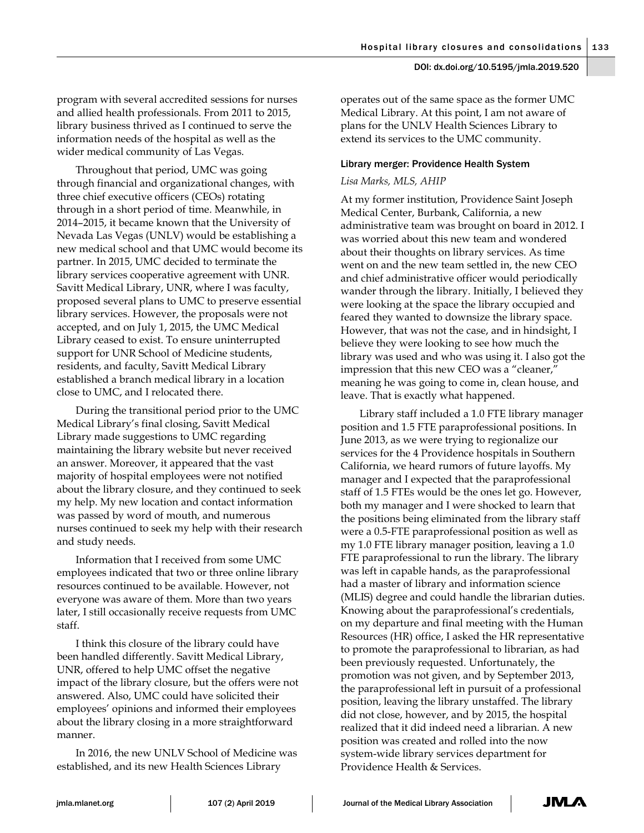program with several accredited sessions for nurses and allied health professionals. From 2011 to 2015, library business thrived as I continued to serve the information needs of the hospital as well as the wider medical community of Las Vegas.

Throughout that period, UMC was going through financial and organizational changes, with three chief executive officers (CEOs) rotating through in a short period of time. Meanwhile, in 2014–2015, it became known that the University of Nevada Las Vegas (UNLV) would be establishing a new medical school and that UMC would become its partner. In 2015, UMC decided to terminate the library services cooperative agreement with UNR. Savitt Medical Library, UNR, where I was faculty, proposed several plans to UMC to preserve essential library services. However, the proposals were not accepted, and on July 1, 2015, the UMC Medical Library ceased to exist. To ensure uninterrupted support for UNR School of Medicine students, residents, and faculty, Savitt Medical Library established a branch medical library in a location close to UMC, and I relocated there.

During the transitional period prior to the UMC Medical Library's final closing, Savitt Medical Library made suggestions to UMC regarding maintaining the library website but never received an answer. Moreover, it appeared that the vast majority of hospital employees were not notified about the library closure, and they continued to seek my help. My new location and contact information was passed by word of mouth, and numerous nurses continued to seek my help with their research and study needs.

Information that I received from some UMC employees indicated that two or three online library resources continued to be available. However, not everyone was aware of them. More than two years later, I still occasionally receive requests from UMC staff.

I think this closure of the library could have been handled differently. Savitt Medical Library, UNR, offered to help UMC offset the negative impact of the library closure, but the offers were not answered. Also, UMC could have solicited their employees' opinions and informed their employees about the library closing in a more straightforward manner.

In 2016, the new UNLV School of Medicine was established, and its new Health Sciences Library

operates out of the same space as the former UMC Medical Library. At this point, I am not aware of plans for the UNLV Health Sciences Library to extend its services to the UMC community.

## Library merger: Providence Health System

## *Lisa Marks, MLS, AHIP*

At my former institution, Providence Saint Joseph Medical Center, Burbank, California, a new administrative team was brought on board in 2012. I was worried about this new team and wondered about their thoughts on library services. As time went on and the new team settled in, the new CEO and chief administrative officer would periodically wander through the library. Initially, I believed they were looking at the space the library occupied and feared they wanted to downsize the library space. However, that was not the case, and in hindsight, I believe they were looking to see how much the library was used and who was using it. I also got the impression that this new CEO was a "cleaner," meaning he was going to come in, clean house, and leave. That is exactly what happened.

Library staff included a 1.0 FTE library manager position and 1.5 FTE paraprofessional positions. In June 2013, as we were trying to regionalize our services for the 4 Providence hospitals in Southern California, we heard rumors of future layoffs. My manager and I expected that the paraprofessional staff of 1.5 FTEs would be the ones let go. However, both my manager and I were shocked to learn that the positions being eliminated from the library staff were a 0.5-FTE paraprofessional position as well as my 1.0 FTE library manager position, leaving a 1.0 FTE paraprofessional to run the library. The library was left in capable hands, as the paraprofessional had a master of library and information science (MLIS) degree and could handle the librarian duties. Knowing about the paraprofessional's credentials, on my departure and final meeting with the Human Resources (HR) office, I asked the HR representative to promote the paraprofessional to librarian, as had been previously requested. Unfortunately, the promotion was not given, and by September 2013, the paraprofessional left in pursuit of a professional position, leaving the library unstaffed. The library did not close, however, and by 2015, the hospital realized that it did indeed need a librarian. A new position was created and rolled into the now system-wide library services department for Providence Health & Services.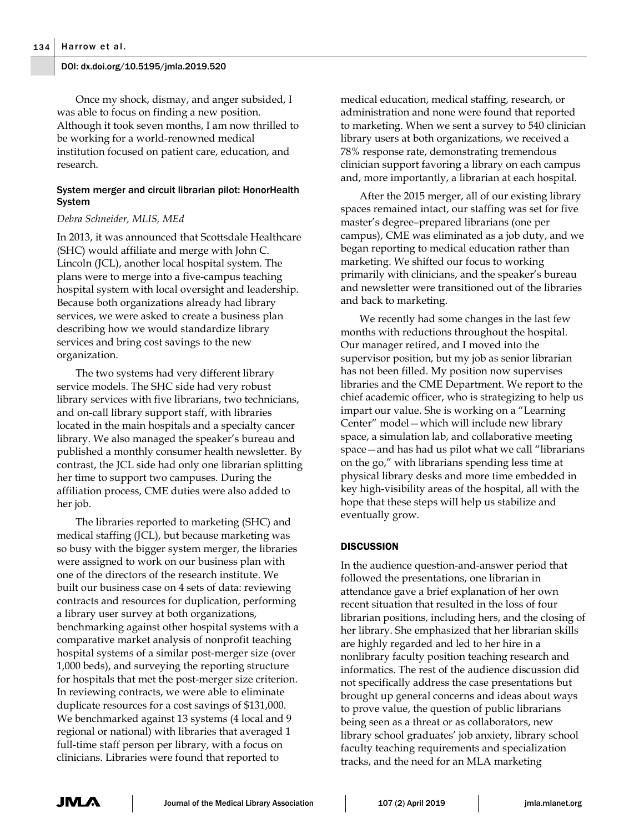Once my shock, dismay, and anger subsided, I was able to focus on finding a new position. Although it took seven months, I am now thrilled to be working for a world-renowned medical institution focused on patient care, education, and research.

## System merger and circuit librarian pilot: HonorHealth System

#### *Debra Schneider, MLIS, MEd*

In 2013, it was announced that Scottsdale Healthcare (SHC) would affiliate and merge with John C. Lincoln (JCL), another local hospital system. The plans were to merge into a five-campus teaching hospital system with local oversight and leadership. Because both organizations already had library services, we were asked to create a business plan describing how we would standardize library services and bring cost savings to the new organization.

The two systems had very different library service models. The SHC side had very robust library services with five librarians, two technicians, and on-call library support staff, with libraries located in the main hospitals and a specialty cancer library. We also managed the speaker's bureau and published a monthly consumer health newsletter. By contrast, the JCL side had only one librarian splitting her time to support two campuses. During the affiliation process, CME duties were also added to her job.

The libraries reported to marketing (SHC) and medical staffing (JCL), but because marketing was so busy with the bigger system merger, the libraries were assigned to work on our business plan with one of the directors of the research institute. We built our business case on 4 sets of data: reviewing contracts and resources for duplication, performing a library user survey at both organizations, benchmarking against other hospital systems with a comparative market analysis of nonprofit teaching hospital systems of a similar post-merger size (over 1,000 beds), and surveying the reporting structure for hospitals that met the post-merger size criterion. In reviewing contracts, we were able to eliminate duplicate resources for a cost savings of \$131,000. We benchmarked against 13 systems (4 local and 9 regional or national) with libraries that averaged 1 full-time staff person per library, with a focus on clinicians. Libraries were found that reported to

medical education, medical staffing, research, or administration and none were found that reported to marketing. When we sent a survey to 540 clinician library users at both organizations, we received a 78% response rate, demonstrating tremendous clinician support favoring a library on each campus and, more importantly, a librarian at each hospital.

After the 2015 merger, all of our existing library spaces remained intact, our staffing was set for five master's degree–prepared librarians (one per campus), CME was eliminated as a job duty, and we began reporting to medical education rather than marketing. We shifted our focus to working primarily with clinicians, and the speaker's bureau and newsletter were transitioned out of the libraries and back to marketing.

We recently had some changes in the last few months with reductions throughout the hospital. Our manager retired, and I moved into the supervisor position, but my job as senior librarian has not been filled. My position now supervises libraries and the CME Department. We report to the chief academic officer, who is strategizing to help us impart our value. She is working on a "Learning Center" model—which will include new library space, a simulation lab, and collaborative meeting space—and has had us pilot what we call "librarians on the go," with librarians spending less time at physical library desks and more time embedded in key high-visibility areas of the hospital, all with the hope that these steps will help us stabilize and eventually grow.

## **DISCUSSION**

In the audience question-and-answer period that followed the presentations, one librarian in attendance gave a brief explanation of her own recent situation that resulted in the loss of four librarian positions, including hers, and the closing of her library. She emphasized that her librarian skills are highly regarded and led to her hire in a nonlibrary faculty position teaching research and informatics. The rest of the audience discussion did not specifically address the case presentations but brought up general concerns and ideas about ways to prove value, the question of public librarians being seen as a threat or as collaborators, new library school graduates' job anxiety, library school faculty teaching requirements and specialization tracks, and the need for an MLA marketing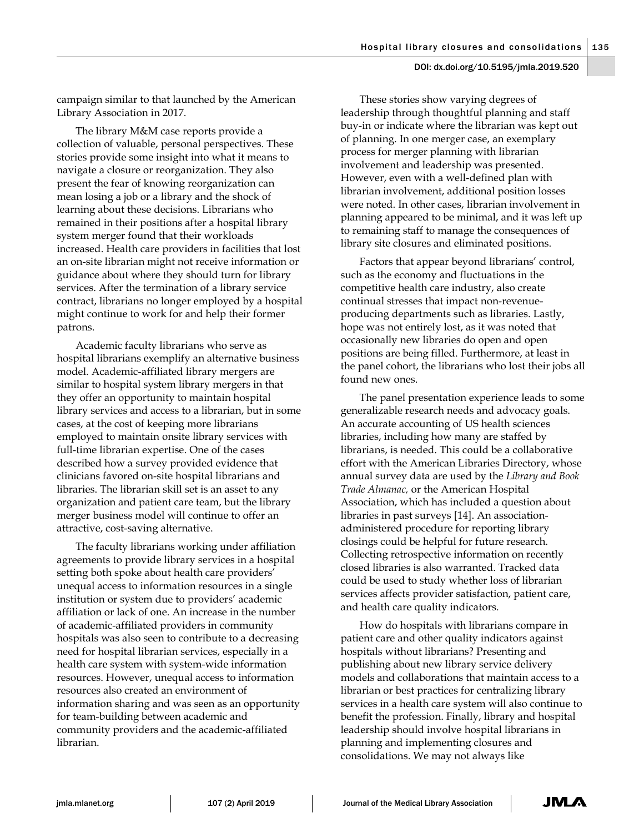campaign similar to that launched by the American Library Association in 2017.

The library M&M case reports provide a collection of valuable, personal perspectives. These stories provide some insight into what it means to navigate a closure or reorganization. They also present the fear of knowing reorganization can mean losing a job or a library and the shock of learning about these decisions. Librarians who remained in their positions after a hospital library system merger found that their workloads increased. Health care providers in facilities that lost an on-site librarian might not receive information or guidance about where they should turn for library services. After the termination of a library service contract, librarians no longer employed by a hospital might continue to work for and help their former patrons.

Academic faculty librarians who serve as hospital librarians exemplify an alternative business model. Academic-affiliated library mergers are similar to hospital system library mergers in that they offer an opportunity to maintain hospital library services and access to a librarian, but in some cases, at the cost of keeping more librarians employed to maintain onsite library services with full-time librarian expertise. One of the cases described how a survey provided evidence that clinicians favored on-site hospital librarians and libraries. The librarian skill set is an asset to any organization and patient care team, but the library merger business model will continue to offer an attractive, cost-saving alternative.

The faculty librarians working under affiliation agreements to provide library services in a hospital setting both spoke about health care providers' unequal access to information resources in a single institution or system due to providers' academic affiliation or lack of one. An increase in the number of academic-affiliated providers in community hospitals was also seen to contribute to a decreasing need for hospital librarian services, especially in a health care system with system-wide information resources. However, unequal access to information resources also created an environment of information sharing and was seen as an opportunity for team-building between academic and community providers and the academic-affiliated librarian.

These stories show varying degrees of leadership through thoughtful planning and staff buy-in or indicate where the librarian was kept out of planning. In one merger case, an exemplary process for merger planning with librarian involvement and leadership was presented. However, even with a well-defined plan with librarian involvement, additional position losses were noted. In other cases, librarian involvement in planning appeared to be minimal, and it was left up to remaining staff to manage the consequences of library site closures and eliminated positions.

Factors that appear beyond librarians' control, such as the economy and fluctuations in the competitive health care industry, also create continual stresses that impact non-revenueproducing departments such as libraries. Lastly, hope was not entirely lost, as it was noted that occasionally new libraries do open and open positions are being filled. Furthermore, at least in the panel cohort, the librarians who lost their jobs all found new ones.

The panel presentation experience leads to some generalizable research needs and advocacy goals. An accurate accounting of US health sciences libraries, including how many are staffed by librarians, is needed. This could be a collaborative effort with the American Libraries Directory, whose annual survey data are used by the *Library and Book Trade Almanac,* or the American Hospital Association, which has included a question about libraries in past surveys [14]. An associationadministered procedure for reporting library closings could be helpful for future research. Collecting retrospective information on recently closed libraries is also warranted. Tracked data could be used to study whether loss of librarian services affects provider satisfaction, patient care, and health care quality indicators.

How do hospitals with librarians compare in patient care and other quality indicators against hospitals without librarians? Presenting and publishing about new library service delivery models and collaborations that maintain access to a librarian or best practices for centralizing library services in a health care system will also continue to benefit the profession. Finally, library and hospital leadership should involve hospital librarians in planning and implementing closures and consolidations. We may not always like